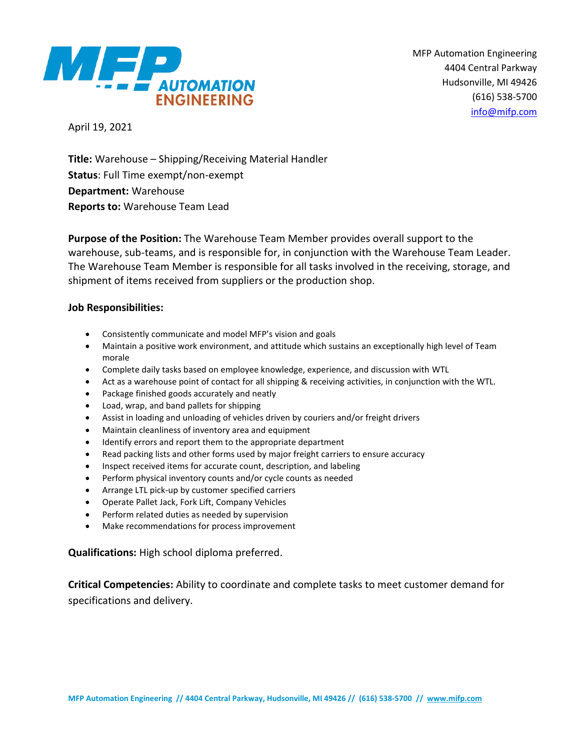

MFP Automation Engineering 4404 Central Parkway Hudsonville, MI 49426 (616) 538-5700 [info@mifp.com](mailto:info@mifp.com)

April 19, 2021

**Title:** Warehouse – Shipping/Receiving Material Handler **Status**: Full Time exempt/non-exempt **Department:** Warehouse **Reports to:** Warehouse Team Lead

**Purpose of the Position:** The Warehouse Team Member provides overall support to the warehouse, sub-teams, and is responsible for, in conjunction with the Warehouse Team Leader. The Warehouse Team Member is responsible for all tasks involved in the receiving, storage, and shipment of items received from suppliers or the production shop.

# **Job Responsibilities:**

- Consistently communicate and model MFP's vision and goals
- Maintain a positive work environment, and attitude which sustains an exceptionally high level of Team morale
- Complete daily tasks based on employee knowledge, experience, and discussion with WTL
- Act as a warehouse point of contact for all shipping & receiving activities, in conjunction with the WTL.
- Package finished goods accurately and neatly
- Load, wrap, and band pallets for shipping
- Assist in loading and unloading of vehicles driven by couriers and/or freight drivers
- Maintain cleanliness of inventory area and equipment
- Identify errors and report them to the appropriate department
- Read packing lists and other forms used by major freight carriers to ensure accuracy
- Inspect received items for accurate count, description, and labeling
- Perform physical inventory counts and/or cycle counts as needed
- Arrange LTL pick-up by customer specified carriers
- Operate Pallet Jack, Fork Lift, Company Vehicles
- Perform related duties as needed by supervision
- Make recommendations for process improvement

**Qualifications:** High school diploma preferred.

**Critical Competencies:** Ability to coordinate and complete tasks to meet customer demand for specifications and delivery.